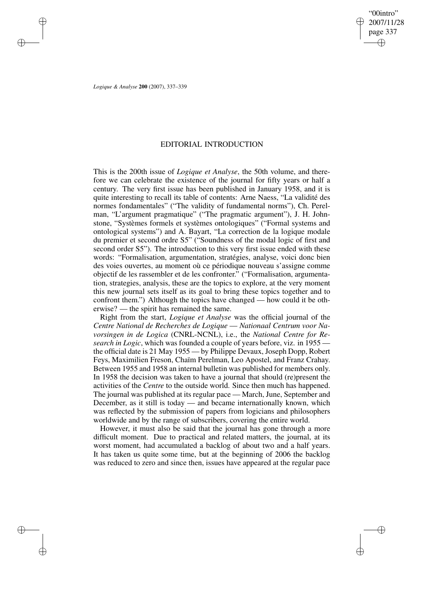"00intro" 2007/11/28 page 337 ✐ ✐

✐

✐

*Logique & Analyse* **200** (2007), 337–339

✐

✐

✐

✐

## EDITORIAL INTRODUCTION

This is the 200th issue of *Logique et Analyse*, the 50th volume, and therefore we can celebrate the existence of the journal for fifty years or half a century. The very first issue has been published in January 1958, and it is quite interesting to recall its table of contents: Arne Naess, "La validité des normes fondamentales" ("The validity of fundamental norms"), Ch. Perelman, "L'argument pragmatique" ("The pragmatic argument"), J. H. Johnstone, "Systèmes formels et systèmes ontologiques" ("Formal systems and ontological systems") and A. Bayart, "La correction de la logique modale du premier et second ordre S5" ("Soundness of the modal logic of first and second order S5"). The introduction to this very first issue ended with these words: "Formalisation, argumentation, stratégies, analyse, voici donc bien des voies ouvertes, au moment où ce périodique nouveau s'assigne comme objectif de les rassembler et de les confronter." ("Formalisation, argumentation, strategies, analysis, these are the topics to explore, at the very moment this new journal sets itself as its goal to bring these topics together and to confront them.") Although the topics have changed — how could it be otherwise? — the spirit has remained the same.

Right from the start, *Logique et Analyse* was the official journal of the *Centre National de Recherches de Logique* — *Nationaal Centrum voor Navorsingen in de Logica* (CNRL-NCNL), i.e., the *National Centre for Research in Logic*, which was founded a couple of years before, viz. in 1955 the official date is 21 May 1955 — by Philippe Devaux, Joseph Dopp, Robert Feys, Maximilien Freson, Chaïm Perelman, Leo Apostel, and Franz Crahay. Between 1955 and 1958 an internal bulletin was published for members only. In 1958 the decision was taken to have a journal that should (re)present the activities of the *Centre* to the outside world. Since then much has happened. The journal was published at its regular pace — March, June, September and December, as it still is today — and became internationally known, which was reflected by the submission of papers from logicians and philosophers worldwide and by the range of subscribers, covering the entire world.

However, it must also be said that the journal has gone through a more difficult moment. Due to practical and related matters, the journal, at its worst moment, had accumulated a backlog of about two and a half years. It has taken us quite some time, but at the beginning of 2006 the backlog was reduced to zero and since then, issues have appeared at the regular pace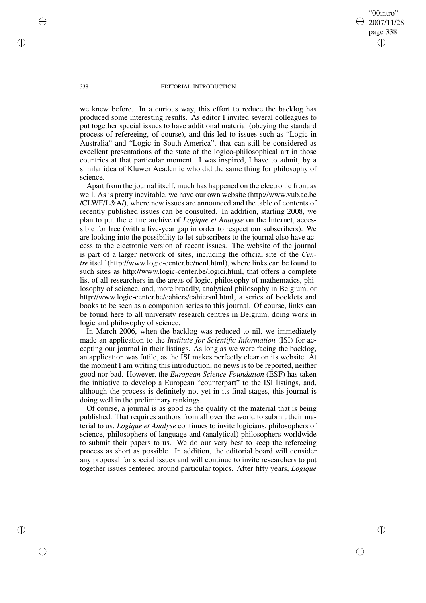"00intro" 2007/11/28 page 338 ✐ ✐

✐

✐

## 338 EDITORIAL INTRODUCTION

we knew before. In a curious way, this effort to reduce the backlog has produced some interesting results. As editor I invited several colleagues to put together special issues to have additional material (obeying the standard process of refereeing, of course), and this led to issues such as "Logic in Australia" and "Logic in South-America", that can still be considered as excellent presentations of the state of the logico-philosophical art in those countries at that particular moment. I was inspired, I have to admit, by a similar idea of Kluwer Academic who did the same thing for philosophy of science.

Apart from the journal itself, much has happened on the electronic front as well. As is pretty inevitable, we have our own website (http://www.vub.ac.be /CLWF/L&A/), where new issues are announced and the table of contents of recently published issues can be consulted. In addition, starting 2008, we plan to put the entire archive of *Logique et Analyse* on the Internet, accessible for free (with a five-year gap in order to respect our subscribers). We are looking into the possibility to let subscribers to the journal also have access to the electronic version of recent issues. The website of the journal is part of a larger network of sites, including the official site of the *Centre* itself (http://www.logic-center.be/ncnl.html), where links can be found to such sites as http://www.logic-center.be/logici.html, that offers a complete list of all researchers in the areas of logic, philosophy of mathematics, philosophy of science, and, more broadly, analytical philosophy in Belgium, or http://www.logic-center.be/cahiers/cahiersnl.html, a series of booklets and books to be seen as a companion series to this journal. Of course, links can be found here to all university research centres in Belgium, doing work in logic and philosophy of science.

In March 2006, when the backlog was reduced to nil, we immediately made an application to the *Institute for Scientific Information* (ISI) for accepting our journal in their listings. As long as we were facing the backlog, an application was futile, as the ISI makes perfectly clear on its website. At the moment I am writing this introduction, no news is to be reported, neither good nor bad. However, the *European Science Foundation* (ESF) has taken the initiative to develop a European "counterpart" to the ISI listings, and, although the process is definitely not yet in its final stages, this journal is doing well in the preliminary rankings.

Of course, a journal is as good as the quality of the material that is being published. That requires authors from all over the world to submit their material to us. *Logique et Analyse* continues to invite logicians, philosophers of science, philosophers of language and (analytical) philosophers worldwide to submit their papers to us. We do our very best to keep the refereeing process as short as possible. In addition, the editorial board will consider any proposal for special issues and will continue to invite researchers to put together issues centered around particular topics. After fifty years, *Logique*

✐

✐

✐

✐